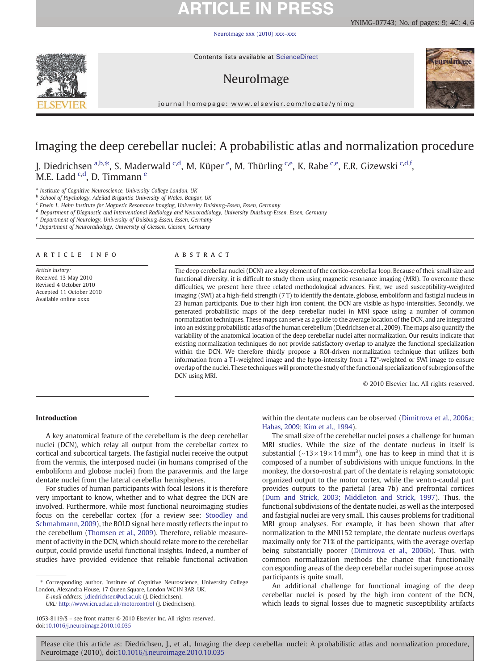# **ARTICLE IN PRESS**

[NeuroImage xxx \(2010\) xxx](http://dx.doi.org/10.1016/j.neuroimage.2010.10.035)–xxx



Contents lists available at ScienceDirect

# NeuroImage



**ural mage** 

journal homepage: www.elsevier.com/locate/ynimg

# Imaging the deep cerebellar nuclei: A probabilistic atlas and normalization procedure

J. Diedrichsen <sup>a,b, $*$ </sup>, S. Maderwald <sup>c,d</sup>, M. Küper <sup>e</sup>, M. Thürling <sup>c,e</sup>, K. Rabe <sup>c,e</sup>, E.R. Gizewski <sup>c,d,f</sup>, M.E. Ladd <sup>c,d</sup>, D. Timmann <sup>e</sup>

<sup>a</sup> Institute of Cognitive Neuroscience, University College London, UK

<sup>b</sup> School of Psychology, Adeilad Brigantia University of Wales, Bangor, UK

<sup>c</sup> Erwin L. Hahn Institute for Magnetic Resonance Imaging, University Duisburg-Essen, Essen, Germany

<sup>d</sup> Department of Diagnostic and Interventional Radiology and Neuroradiology, University Duisburg-Essen, Essen, Germany

<sup>e</sup> Department of Neurology, University of Duisburg-Essen, Essen, Germany

<sup>f</sup> Department of Neuroradiology, University of Giessen, Giessen, Germany

## article info abstract

Article history: Received 13 May 2010 Revised 4 October 2010 Accepted 11 October 2010 Available online xxxx

The deep cerebellar nuclei (DCN) are a key element of the cortico-cerebellar loop. Because of their small size and functional diversity, it is difficult to study them using magnetic resonance imaging (MRI). To overcome these difficulties, we present here three related methodological advances. First, we used susceptibility-weighted imaging (SWI) at a high-field strength (7 T) to identify the dentate, globose, emboliform and fastigial nucleus in 23 human participants. Due to their high iron content, the DCN are visible as hypo-intensities. Secondly, we generated probabilistic maps of the deep cerebellar nuclei in MNI space using a number of common normalization techniques. These maps can serve as a guide to the average location of the DCN, and are integrated into an existing probabilistic atlas of the human cerebellum (Diedrichsen et al., 2009). The maps also quantify the variability of the anatomical location of the deep cerebellar nuclei after normalization. Our results indicate that existing normalization techniques do not provide satisfactory overlap to analyze the functional specialization within the DCN. We therefore thirdly propose a ROI-driven normalization technique that utilizes both information from a T1-weighted image and the hypo-intensity from a T2\*-weighted or SWI image to ensure overlap of the nuclei. These techniques will promote the study of the functional specialization of subregions of the DCN using MRI.

© 2010 Elsevier Inc. All rights reserved.

# Introduction

A key anatomical feature of the cerebellum is the deep cerebellar nuclei (DCN), which relay all output from the cerebellar cortex to cortical and subcortical targets. The fastigial nuclei receive the output from the vermis, the interposed nuclei (in humans comprised of the emboliform and globose nuclei) from the paravermis, and the large dentate nuclei from the lateral cerebellar hemispheres.

For studies of human participants with focal lesions it is therefore very important to know, whether and to what degree the DCN are involved. Furthermore, while most functional neuroimaging studies focus on the cerebellar cortex (for a review see: [Stoodley and](#page-8-0) [Schmahmann, 2009](#page-8-0)), the BOLD signal here mostly reflects the input to the cerebellum [\(Thomsen et al., 2009](#page-8-0)). Therefore, reliable measurement of activity in the DCN, which should relate more to the cerebellar output, could provide useful functional insights. Indeed, a number of studies have provided evidence that reliable functional activation

⁎ Corresponding author. Institute of Cognitive Neuroscience, University College London, Alexandra House, 17 Queen Square, London WC1N 3AR, UK.

E-mail address: [j.diedrichsen@ucl.ac.uk](mailto:j.diedrichsen@ucl.ac.uk) (J. Diedrichsen). URL: [http://www.icn.ucl.ac.uk/motorcontrol](mailto:http://www.icn.ucl.ac.uk/motorcontrol) (J. Diedrichsen). within the dentate nucleus can be observed ([Dimitrova et al., 2006a;](#page-7-0) [Habas, 2009; Kim et al., 1994](#page-7-0)).

The small size of the cerebellar nuclei poses a challenge for human MRI studies. While the size of the dentate nucleus in itself is substantial ( $\sim$ 13 × 19 × 14 mm<sup>3</sup>), one has to keep in mind that it is composed of a number of subdivisions with unique functions. In the monkey, the dorso-rostral part of the dentate is relaying somatotopic organized output to the motor cortex, while the ventro-caudal part provides outputs to the parietal (area 7b) and prefrontal cortices [\(Dum and Strick, 2003; Middleton and Strick, 1997](#page-7-0)). Thus, the functional subdivisions of the dentate nuclei, as well as the interposed and fastigial nuclei are very small. This causes problems for traditional MRI group analyses. For example, it has been shown that after normalization to the MNI152 template, the dentate nucleus overlaps maximally only for 71% of the participants, with the average overlap being substantially poorer [\(Dimitrova et al., 2006b](#page-7-0)). Thus, with common normalization methods the chance that functionally corresponding areas of the deep cerebellar nuclei superimpose across participants is quite small.

An additional challenge for functional imaging of the deep cerebellar nuclei is posed by the high iron content of the DCN, which leads to signal losses due to magnetic susceptibility artifacts

<sup>1053-8119/\$</sup> – see front matter © 2010 Elsevier Inc. All rights reserved. doi:[10.1016/j.neuroimage.2010.10.035](http://dx.doi.org/10.1016/j.neuroimage.2010.10.035)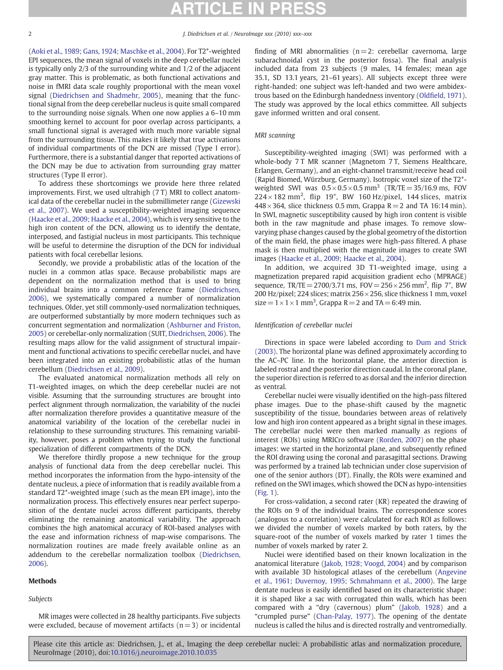<span id="page-1-0"></span>[\(Aoki et al., 1989; Gans, 1924; Maschke et al., 2004\)](#page-7-0). For T2\*-weighted EPI sequences, the mean signal of voxels in the deep cerebellar nuclei is typically only 2/3 of the surrounding white and 1/2 of the adjacent gray matter. This is problematic, as both functional activations and noise in fMRI data scale roughly proportional with the mean voxel signal [\(Diedrichsen and Shadmehr, 2005](#page-7-0)), meaning that the functional signal from the deep cerebellar nucleus is quite small compared to the surrounding noise signals. When one now applies a 6–10 mm smoothing kernel to account for poor overlap across participants, a small functional signal is averaged with much more variable signal from the surrounding tissue. This makes it likely that true activations of individual compartments of the DCN are missed (Type I error). Furthermore, there is a substantial danger that reported activations of the DCN may be due to activation from surrounding gray matter structures (Type II error).

To address these shortcomings we provide here three related improvements. First, we used ultrahigh (7 T) MRI to collect anatomical data of the cerebellar nuclei in the submillimeter range ([Gizewski](#page-7-0) [et al., 2007](#page-7-0)). We used a susceptibility-weighted imaging sequence [\(Haacke et al., 2009; Haacke et al., 2004](#page-7-0)), which is very sensitive to the high iron content of the DCN, allowing us to identify the dentate, interposed, and fastigial nucleus in most participants. This technique will be useful to determine the disruption of the DCN for individual patients with focal cerebellar lesions.

Secondly, we provide a probabilistic atlas of the location of the nuclei in a common atlas space. Because probabilistic maps are dependent on the normalization method that is used to bring individual brains into a common reference frame [\(Diedrichsen,](#page-7-0) [2006](#page-7-0)), we systematically compared a number of normalization techniques. Older, yet still commonly-used normalization techniques, are outperformed substantially by more modern techniques such as concurrent segmentation and normalization [\(Ashburner and Friston,](#page-7-0) [2005\)](#page-7-0) or cerebellar-only normalization (SUIT, [Diedrichsen, 2006](#page-7-0)). The resulting maps allow for the valid assignment of structural impairment and functional activations to specific cerebellar nuclei, and have been integrated into an existing probabilistic atlas of the human cerebellum [\(Diedrichsen et al., 2009\)](#page-7-0).

The evaluated anatomical normalization methods all rely on T1-weighted images, on which the deep cerebellar nuclei are not visible. Assuming that the surrounding structures are brought into perfect alignment through normalization, the variability of the nuclei after normalization therefore provides a quantitative measure of the anatomical variability of the location of the cerebellar nuclei in relationship to these surrounding structures. This remaining variability, however, poses a problem when trying to study the functional specialization of different compartments of the DCN.

We therefore thirdly propose a new technique for the group analysis of functional data from the deep cerebellar nuclei. This method incorporates the information from the hypo-intensity of the dentate nucleus, a piece of information that is readily available from a standard T2\*-weighted image (such as the mean EPI image), into the normalization process. This effectively ensures near perfect superposition of the dentate nuclei across different participants, thereby eliminating the remaining anatomical variability. The approach combines the high anatomical accuracy of ROI-based analyses with the ease and information richness of map-wise comparisons. The normalization routines are made freely available online as an addendum to the cerebellar normalization toolbox ([Diedrichsen,](#page-7-0) [2006\)](#page-7-0).

# Methods

## Subjects

MR images were collected in 28 healthy participants. Five subjects were excluded, because of movement artifacts ( $n=3$ ) or incidental finding of MRI abnormalities  $(n=2;$  cerebellar cavernoma, large subarachnoidal cyst in the posterior fossa). The final analysis included data from 23 subjects (9 males, 14 females; mean age 35.1, SD 13.1 years, 21–61 years). All subjects except three were right-handed: one subject was left-handed and two were ambidextrous based on the Edinburgh handedness inventory (Oldfi[eld, 1971](#page-8-0)). The study was approved by the local ethics committee. All subjects gave informed written and oral consent.

### MRI scanning

Susceptibility-weighted imaging (SWI) was performed with a whole-body 7T MR scanner (Magnetom 7T, Siemens Healthcare, Erlangen, Germany), and an eight-channel transmit/receive head coil (Rapid Biomed, Würzburg, Germany). Isotropic voxel size of the T2\* weighted SWI was  $0.5 \times 0.5 \times 0.5$  mm<sup>3</sup> (TR/TE = 35/16.9 ms, FOV  $224 \times 182$  mm<sup>2</sup>, flip 19°, BW 160 Hz/pixel, 144 slices, matrix  $448 \times 364$ , slice thickness 0.5 mm, Grappa R = 2 and TA 16:14 min). In SWI, magnetic susceptibility caused by high iron content is visible both in the raw magnitude and phase images. To remove slowvarying phase changes caused by the global geometry of the distortion of the main field, the phase images were high-pass filtered. A phase mask is then multiplied with the magnitude images to create SWI images [\(Haacke et al., 2009; Haacke et al., 2004\)](#page-7-0).

In addition, we acquired 3D T1-weighted image, using a magnetization prepared rapid acquisition gradient echo (MPRAGE) sequence,  $TR/TE = 2700/3.71$  ms,  $FOV = 256 \times 256$  mm<sup>2</sup>, flip 7°, BW 200 Hz/pixel; 224 slices; matrix 256  $\times$  256, slice thickness 1 mm, voxel size =  $1 \times 1 \times 1$  mm<sup>3</sup>, Grappa R = 2 and TA = 6:49 min.

### Identification of cerebellar nuclei

Directions in space were labeled according to [Dum and Strick](#page-7-0) [\(2003\).](#page-7-0) The horizontal plane was defined approximately according to the AC–PC line. In the horizontal plane, the anterior direction is labeled rostral and the posterior direction caudal. In the coronal plane, the superior direction is referred to as dorsal and the inferior direction as ventral.

Cerebellar nuclei were visually identified on the high-pass filtered phase images. Due to the phase-shift caused by the magnetic susceptibility of the tissue, boundaries between areas of relatively low and high iron content appeared as a bright signal in these images. The cerebellar nuclei were then marked manually as regions of interest (ROIs) using MRICro software [\(Rorden, 2007](#page-8-0)) on the phase images: we started in the horizontal plane, and subsequently refined the ROI drawing using the coronal and parasagittal sections. Drawing was performed by a trained lab technician under close supervision of one of the senior authors (DT). Finally, the ROIs were examined and refined on the SWI images, which showed the DCN as hypo-intensities [\(Fig. 1\)](#page-2-0).

For cross-validation, a second rater (KR) repeated the drawing of the ROIs on 9 of the individual brains. The correspondence scores (analogous to a correlation) were calculated for each ROI as follows: we divided the number of voxels marked by both raters, by the square-root of the number of voxels marked by rater 1 times the number of voxels marked by rater 2.

Nuclei were identified based on their known localization in the anatomical literature [\(Jakob, 1928; Voogd, 2004](#page-7-0)) and by comparison with available 3D histological atlases of the cerebellum ([Angevine](#page-7-0) [et al., 1961; Duvernoy, 1995; Schmahmann et al., 2000](#page-7-0)). The large dentate nucleus is easily identified based on its characteristic shape: it is shaped like a sac with corrugated thin walls, which has been compared with a "dry (cavernous) plum" [\(Jakob, 1928](#page-7-0)) and a "crumpled purse" ([Chan-Palay, 1977](#page-7-0)). The opening of the dentate nucleus is called the hilus and is directed rostrally and ventromedially.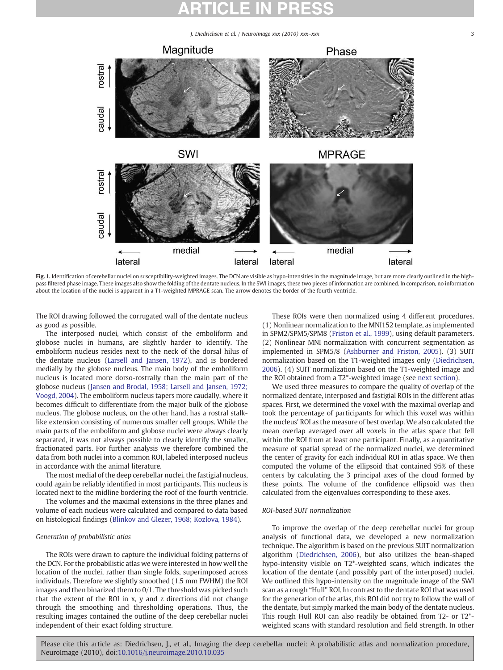<span id="page-2-0"></span>

Fig. 1. Identification of cerebellar nuclei on susceptibility-weighted images. The DCN are visible as hypo-intensities in the magnitude image, but are more clearly outlined in the highpass filtered phase image. These images also show the folding of the dentate nucleus. In the SWI images, these two pieces of information are combined. In comparison, no information about the location of the nuclei is apparent in a T1-weighted MPRAGE scan. The arrow denotes the border of the fourth ventricle.

The ROI drawing followed the corrugated wall of the dentate nucleus as good as possible.

The interposed nuclei, which consist of the emboliform and globose nuclei in humans, are slightly harder to identify. The emboliform nucleus resides next to the neck of the dorsal hilus of the dentate nucleus [\(Larsell and Jansen, 1972\)](#page-7-0), and is bordered medially by the globose nucleus. The main body of the emboliform nucleus is located more dorso-rostrally than the main part of the globose nucleus [\(Jansen and Brodal, 1958; Larsell and Jansen, 1972;](#page-7-0) [Voogd, 2004\)](#page-7-0). The emboliform nucleus tapers more caudally, where it becomes difficult to differentiate from the major bulk of the globose nucleus. The globose nucleus, on the other hand, has a rostral stalklike extension consisting of numerous smaller cell groups. While the main parts of the emboliform and globose nuclei were always clearly separated, it was not always possible to clearly identify the smaller, fractionated parts. For further analysis we therefore combined the data from both nuclei into a common ROI, labeled interposed nucleus in accordance with the animal literature.

The most medial of the deep cerebellar nuclei, the fastigial nucleus, could again be reliably identified in most participants. This nucleus is located next to the midline bordering the roof of the fourth ventricle.

The volumes and the maximal extensions in the three planes and volume of each nucleus were calculated and compared to data based on histological findings [\(Blinkov and Glezer, 1968; Kozlova, 1984\)](#page-7-0).

### Generation of probabilistic atlas

The ROIs were drawn to capture the individual folding patterns of the DCN. For the probabilistic atlas we were interested in how well the location of the nuclei, rather than single folds, superimposed across individuals. Therefore we slightly smoothed (1.5 mm FWHM) the ROI images and then binarized them to 0/1. The threshold was picked such that the extent of the ROI in x, y and z directions did not change through the smoothing and thresholding operations. Thus, the resulting images contained the outline of the deep cerebellar nuclei independent of their exact folding structure.

These ROIs were then normalized using 4 different procedures. (1) Nonlinear normalization to the MNI152 template, as implemented in SPM2/SPM5/SPM8 [\(Friston et al., 1999\)](#page-7-0), using default parameters. (2) Nonlinear MNI normalization with concurrent segmentation as implemented in SPM5/8 [\(Ashburner and Friston, 2005\)](#page-7-0). (3) SUIT normalization based on the T1-weighted images only [\(Diedrichsen,](#page-7-0) [2006\)](#page-7-0). (4) SUIT normalization based on the T1-weighted image and the ROI obtained from a T2\*-weighted image (see next section).

We used three measures to compare the quality of overlap of the normalized dentate, interposed and fastigial ROIs in the different atlas spaces. First, we determined the voxel with the maximal overlap and took the percentage of participants for which this voxel was within the nucleus' ROI as the measure of best overlap. We also calculated the mean overlap averaged over all voxels in the atlas space that fell within the ROI from at least one participant. Finally, as a quantitative measure of spatial spread of the normalized nuclei, we determined the center of gravity for each individual ROI in atlas space. We then computed the volume of the ellipsoid that contained 95% of these centers by calculating the 3 principal axes of the cloud formed by these points. The volume of the confidence ellipsoid was then calculated from the eigenvalues corresponding to these axes.

### ROI-based SUIT normalization

To improve the overlap of the deep cerebellar nuclei for group analysis of functional data, we developed a new normalization technique. The algorithm is based on the previous SUIT normalization algorithm [\(Diedrichsen, 2006](#page-7-0)), but also utilizes the bean-shaped hypo-intensity visible on T2\*-weighted scans, which indicates the location of the dentate (and possibly part of the interposed) nuclei. We outlined this hypo-intensity on the magnitude image of the SWI scan as a rough "Hull" ROI. In contrast to the dentate ROI that was used for the generation of the atlas, this ROI did not try to follow the wall of the dentate, but simply marked the main body of the dentate nucleus. This rough Hull ROI can also readily be obtained from T2- or T2\* weighted scans with standard resolution and field strength. In other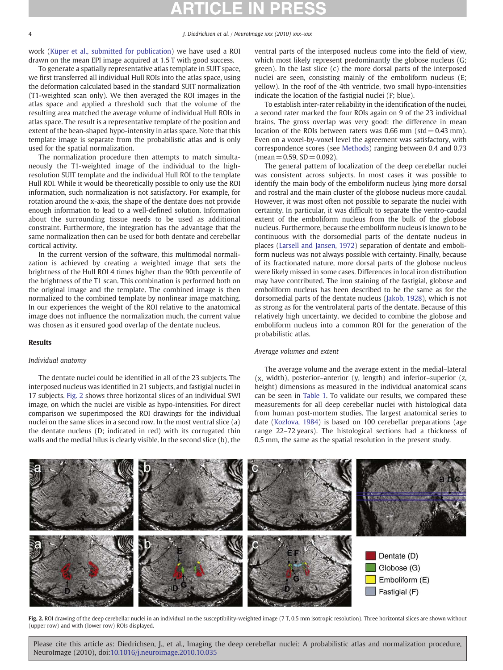<span id="page-3-0"></span>work [\(Küper et al., submitted for publication\)](#page-7-0) we have used a ROI drawn on the mean EPI image acquired at 1.5 T with good success.

To generate a spatially representative atlas template in SUIT space, we first transferred all individual Hull ROIs into the atlas space, using the deformation calculated based in the standard SUIT normalization (T1-weighted scan only). We then averaged the ROI images in the atlas space and applied a threshold such that the volume of the resulting area matched the average volume of individual Hull ROIs in atlas space. The result is a representative template of the position and extent of the bean-shaped hypo-intensity in atlas space. Note that this template image is separate from the probabilistic atlas and is only used for the spatial normalization.

The normalization procedure then attempts to match simultaneously the T1-weighted image of the individual to the highresolution SUIT template and the individual Hull ROI to the template Hull ROI. While it would be theoretically possible to only use the ROI information, such normalization is not satisfactory. For example, for rotation around the x-axis, the shape of the dentate does not provide enough information to lead to a well-defined solution. Information about the surrounding tissue needs to be used as additional constraint. Furthermore, the integration has the advantage that the same normalization then can be used for both dentate and cerebellar cortical activity.

In the current version of the software, this multimodal normalization is achieved by creating a weighted image that sets the brightness of the Hull ROI 4 times higher than the 90th percentile of the brightness of the T1 scan. This combination is performed both on the original image and the template. The combined image is then normalized to the combined template by nonlinear image matching. In our experiences the weight of the ROI relative to the anatomical image does not influence the normalization much, the current value was chosen as it ensured good overlap of the dentate nucleus.

# Results

# Individual anatomy

The dentate nuclei could be identified in all of the 23 subjects. The interposed nucleus was identified in 21 subjects, and fastigial nuclei in 17 subjects. Fig. 2 shows three horizontal slices of an individual SWI image, on which the nuclei are visible as hypo-intensities. For direct comparison we superimposed the ROI drawings for the individual nuclei on the same slices in a second row. In the most ventral slice (a) the dentate nucleus (D; indicated in red) with its corrugated thin walls and the medial hilus is clearly visible. In the second slice (b), the

ventral parts of the interposed nucleus come into the field of view, which most likely represent predominantly the globose nucleus (G; green). In the last slice (c) the more dorsal parts of the interposed nuclei are seen, consisting mainly of the emboliform nucleus (E; yellow). In the roof of the 4th ventricle, two small hypo-intensities indicate the location of the fastigial nuclei (F; blue).

To establish inter-rater reliability in the identification of the nuclei, a second rater marked the four ROIs again on 9 of the 23 individual brains. The gross overlap was very good: the difference in mean location of the ROIs between raters was  $0.66$  mm (std =  $0.43$  mm). Even on a voxel-by-voxel level the agreement was satisfactory, with correspondence scores (see [Methods](#page-1-0)) ranging between 0.4 and 0.73  $(mean = 0.59, SD = 0.092).$ 

The general pattern of localization of the deep cerebellar nuclei was consistent across subjects. In most cases it was possible to identify the main body of the emboliform nucleus lying more dorsal and rostral and the main cluster of the globose nucleus more caudal. However, it was most often not possible to separate the nuclei with certainty. In particular, it was difficult to separate the ventro-caudal extent of the emboliform nucleus from the bulk of the globose nucleus. Furthermore, because the emboliform nucleus is known to be continuous with the dorsomedial parts of the dentate nucleus in places ([Larsell and Jansen, 1972](#page-7-0)) separation of dentate and emboliform nucleus was not always possible with certainty. Finally, because of its fractionated nature, more dorsal parts of the globose nucleus were likely missed in some cases. Differences in local iron distribution may have contributed. The iron staining of the fastigial, globose and emboliform nucleus has been described to be the same as for the dorsomedial parts of the dentate nucleus ([Jakob, 1928\)](#page-7-0), which is not as strong as for the ventrolateral parts of the dentate. Because of this relatively high uncertainty, we decided to combine the globose and emboliform nucleus into a common ROI for the generation of the probabilistic atlas.

### Average volumes and extent

The average volume and the average extent in the medial–lateral (x, width), posterior–anterior (y, length) and inferior–superior (z, height) dimensions as measured in the individual anatomical scans can be seen in [Table 1](#page-4-0). To validate our results, we compared these measurements for all deep cerebellar nuclei with histological data from human post-mortem studies. The largest anatomical series to date ([Kozlova, 1984\)](#page-7-0) is based on 100 cerebellar preparations (age range 22–72 years). The histological sections had a thickness of 0.5 mm, the same as the spatial resolution in the present study.



Fig. 2. ROI drawing of the deep cerebellar nuclei in an individual on the susceptibility-weighted image (7T, 0.5 mm isotropic resolution). Three horizontal slices are shown without (upper row) and with (lower row) ROIs displayed.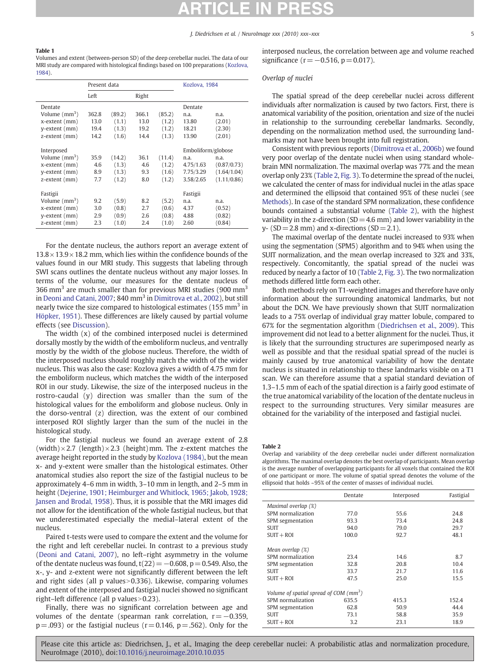### <span id="page-4-0"></span>Table 1

Volumes and extent (between-person SD) of the deep cerebellar nuclei. The data of our MRI study are compared with histological findings based on 100 preparations ([Kozlova,](#page-7-0) [1984](#page-7-0)).

|                           | Present data |        |       |        | Kozlova, 1984      |             |
|---------------------------|--------------|--------|-------|--------|--------------------|-------------|
|                           | Left         |        | Right |        |                    |             |
| Dentate                   |              |        |       |        | Dentate            |             |
| Volume (mm <sup>3</sup> ) | 362.8        | (89.2) | 366.1 | (85.2) | n.a.               | n.a.        |
| x-extent (mm)             | 13.0         | (1.1)  | 13.0  | (1.2)  | 13.80              | (2.01)      |
| y-extent (mm)             | 19.4         | (1.3)  | 19.2  | (1.2)  | 18.21              | (2.30)      |
| z-extent (mm)             | 14.2         | (1.6)  | 14.4  | (1.3)  | 13.90              | (2.01)      |
|                           |              |        |       |        |                    |             |
| Interposed                |              |        |       |        | Emboliform/globose |             |
| Volume $\text{mm}^3$ )    | 35.9         | (14.2) | 36.1  | (11.4) | n.a.               | n.a.        |
| x-extent (mm)             | 4.6          | (1.3)  | 4.6   | (1.2)  | 4.75/1.63          | (0.87/0.73) |
| y-extent (mm)             | 8.9          | (1.3)  | 9.3   | (1.6)  | 7.75/3.29          | (1.64/1.04) |
| z-extent (mm)             | 7.7          | (1.2)  | 8.0   | (1.2)  | 3.58/2.65          | (1.11/0.86) |
|                           |              |        |       |        |                    |             |
| Fastigii                  |              |        |       |        | Fastigii           |             |
| Volume $(mm^3)$           | 9.2          | (5.9)  | 8.2   | (5.2)  | n.a.               | n.a.        |
| x-extent (mm)             | 3.0          | (0.8)  | 2.7   | (0.6)  | 4.37               | (0.52)      |
| y-extent (mm)             | 2.9          | (0.9)  | 2.6   | (0.8)  | 4.88               | (0.82)      |
| z-extent (mm)             | 2.3          | (1.0)  | 2.4   | (1.0)  | 2.60               | (0.84)      |

For the dentate nucleus, the authors report an average extent of  $13.8 \times 13.9 \times 18.2$  mm, which lies within the confidence bounds of the values found in our MRI study. This suggests that labeling through SWI scans outlines the dentate nucleus without any major losses. In terms of the volume, our measures for the dentate nucleus of 366 mm<sup>3</sup> are much smaller than for previous MRI studies (900 mm<sup>3</sup> in [Deoni and Catani, 2007](#page-7-0); 840 mm<sup>3</sup> in [Dimitrova et al., 2002](#page-7-0)), but still nearly twice the size compared to histological estimates  $(155 \text{ mm}^3 \text{ in}$ [Höpker, 1951\)](#page-7-0). These differences are likely caused by partial volume effects (see [Discussion\)](#page-5-0).

The width (x) of the combined interposed nuclei is determined dorsally mostly by the width of the emboliform nucleus, and ventrally mostly by the width of the globose nucleus. Therefore, the width of the interposed nucleus should roughly match the width of the wider nucleus. This was also the case: Kozlova gives a width of 4.75 mm for the emboliform nucleus, which matches the width of the interposed ROI in our study. Likewise, the size of the interposed nucleus in the rostro-caudal (y) direction was smaller than the sum of the histological values for the emboliform and globose nucleus. Only in the dorso-ventral (z) direction, was the extent of our combined interposed ROI slightly larger than the sum of the nuclei in the histological study.

For the fastigial nucleus we found an average extent of 2.8 (width) $\times$ 2.7 (length) $\times$ 2.3 (height)mm. The z-extent matches the average height reported in the study by [Kozlova \(1984\),](#page-7-0) but the mean x- and y-extent were smaller than the histological estimates. Other anatomical studies also report the size of the fastigial nucleus to be approximately 4–6 mm in width, 3–10 mm in length, and 2–5 mm in height [\(Dejerine, 1901; Heimburger and Whitlock, 1965; Jakob, 1928;](#page-7-0) [Jansen and Brodal, 1958\)](#page-7-0). Thus, it is possible that the MRI images did not allow for the identification of the whole fastigial nucleus, but that we underestimated especially the medial–lateral extent of the nucleus.

Paired t-tests were used to compare the extent and the volume for the right and left cerebellar nuclei. In contrast to a previous study [\(Deoni and Catani, 2007](#page-7-0)), no left–right asymmetry in the volume of the dentate nucleus was found,  $t(22)=-0.608$ ,  $p= 0.549$ . Also, the x-, y- and z-extent were not significantly different between the left and right sides (all  $p$  values  $> 0.336$ ). Likewise, comparing volumes and extent of the interposed and fastigial nuclei showed no significant right–left difference (all  $p$  values $>0.23$ ).

Finally, there was no significant correlation between age and volumes of the dentate (spearman rank correlation,  $r=-0.359$ ,  $p = .093$ ) or the fastigial nucleus ( $r = 0.146$ ,  $p = .562$ ). Only for the interposed nucleus, the correlation between age and volume reached significance ( $r = -0.516$ ,  $p = 0.017$ ).

# Overlap of nuclei

The spatial spread of the deep cerebellar nuclei across different individuals after normalization is caused by two factors. First, there is anatomical variability of the position, orientation and size of the nuclei in relationship to the surrounding cerebellar landmarks. Secondly, depending on the normalization method used, the surrounding landmarks may not have been brought into full registration.

Consistent with previous reports ([Dimitrova et al., 2006b\)](#page-7-0) we found very poor overlap of the dentate nuclei when using standard wholebrain MNI normalization. The maximal overlap was 77% and the mean overlap only 23% (Table 2, [Fig. 3\)](#page-5-0). To determine the spread of the nuclei, we calculated the center of mass for individual nuclei in the atlas space and determined the ellipsoid that contained 95% of these nuclei (see [Methods\)](#page-1-0). In case of the standard SPM normalization, these confidence bounds contained a substantial volume (Table 2), with the highest variability in the z-direction  $(SD=4.6 \text{ mm})$  and lower variability in the  $y - (SD = 2.8$  mm) and x-directions  $(SD = 2.1)$ .

The maximal overlap of the dentate nuclei increased to 93% when using the segmentation (SPM5) algorithm and to 94% when using the SUIT normalization, and the mean overlap increased to 32% and 33%, respectively. Concomitantly, the spatial spread of the nuclei was reduced by nearly a factor of 10 (Table 2, [Fig. 3](#page-5-0)). The two normalization methods differed little form each other.

Both methods rely on T1-weighted images and therefore have only information about the surrounding anatomical landmarks, but not about the DCN. We have previously shown that SUIT normalization leads to a 75% overlap of individual gray matter lobule, compared to 67% for the segmentation algorithm ([Diedrichsen et al., 2009](#page-7-0)). This improvement did not lead to a better alignment for the nuclei. Thus, it is likely that the surrounding structures are superimposed nearly as well as possible and that the residual spatial spread of the nuclei is mainly caused by true anatomical variability of how the dentate nucleus is situated in relationship to these landmarks visible on a T1 scan. We can therefore assume that a spatial standard deviation of 1.3–1.5 mm of each of the spatial direction is a fairly good estimate of the true anatomical variability of the location of the dentate nucleus in respect to the surrounding structures. Very similar measures are obtained for the variability of the interposed and fastigial nuclei.

### Table 2

Overlap and variability of the deep cerebellar nuclei under different normalization algorithms. The maximal overlap denotes the best overlap of participants. Mean overlap is the average number of overlapping participants for all voxels that contained the ROI of one participant or more. The volume of spatial spread denotes the volume of the ellipsoid that holds ~95% of the center of masses of individual nuclei.

|                                                    | Dentate | Interposed | Fastigial |  |  |  |  |
|----------------------------------------------------|---------|------------|-----------|--|--|--|--|
| Maximal overlap (%)                                |         |            |           |  |  |  |  |
| SPM normalization                                  | 77.0    | 55.6       | 24.8      |  |  |  |  |
| SPM segmentation                                   | 93.3    | 73.4       | 24.8      |  |  |  |  |
| <b>SUIT</b>                                        | 94.0    | 79.0       | 29.7      |  |  |  |  |
| $SUIT + ROI$                                       | 100.0   | 92.7       | 48.1      |  |  |  |  |
| Mean overlap $(\%)$                                |         |            |           |  |  |  |  |
| SPM normalization                                  | 23.4    | 14.6       | 8.7       |  |  |  |  |
| SPM segmentation                                   | 32.8    | 20.8       | 10.4      |  |  |  |  |
| <b>SUIT</b>                                        | 33.7    | 21.7       | 11.6      |  |  |  |  |
| $SUIT + ROI$                                       | 47.5    | 25.0       | 15.5      |  |  |  |  |
| Volume of spatial spread of COM (mm <sup>3</sup> ) |         |            |           |  |  |  |  |
| SPM normalization                                  | 635.5   | 415.3      | 152.4     |  |  |  |  |
| SPM segmentation                                   | 62.8    | 50.9       | 44.4      |  |  |  |  |
| <b>SUIT</b>                                        | 73.1    | 58.8       | 35.9      |  |  |  |  |
| $SUIT + ROI$                                       | 3.2     | 23.1       | 18.9      |  |  |  |  |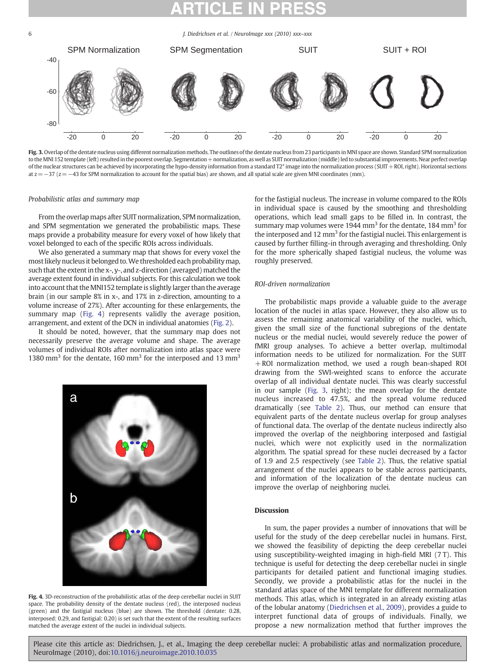<span id="page-5-0"></span>

Fig. 3. Overlap of the dentate nucleus using different normalization methods. The outlines of the dentate nucleus from 23 participants inMNI space are shown. Standard SPM normalization to the MNI 152 template (left) resulted in the poorest overlap. Segmentation + normalization, as well as SUIT normalization (middle) led to substantial improvements. Near perfect overlap of the nuclear structures can be achieved by incorporating the hypo-density information from a standard T2\* image into the normalization process (SUIT + ROI, right). Horizontal sections at  $z=-37$  ( $z=-43$  for SPM normalization to account for the spatial bias) are shown, and all spatial scale are given MNI coordinates (mm).

### Probabilistic atlas and summary map

From the overlap maps after SUIT normalization, SPM normalization, and SPM segmentation we generated the probabilistic maps. These maps provide a probability measure for every voxel of how likely that voxel belonged to each of the specific ROIs across individuals.

We also generated a summary map that shows for every voxel the most likely nucleus it belonged to. We thresholded each probability map, such that the extent in the x-, y-, and z-direction (averaged) matched the average extent found in individual subjects. For this calculation we took into account that the MNI152 template is slightly larger than the average brain (in our sample 8% in x-, and 17% in z-direction, amounting to a volume increase of 27%). After accounting for these enlargements, the summary map (Fig. 4) represents validly the average position, arrangement, and extent of the DCN in individual anatomies ([Fig. 2](#page-3-0)).

It should be noted, however, that the summary map does not necessarily preserve the average volume and shape. The average volumes of individual ROIs after normalization into atlas space were 1380 mm<sup>3</sup> for the dentate, 160 mm<sup>3</sup> for the interposed and 13 mm<sup>3</sup>



Fig. 4. 3D-reconstruction of the probabilistic atlas of the deep cerebellar nuclei in SUIT space. The probability density of the dentate nucleus (red), the interposed nucleus (green) and the fastigial nucleus (blue) are shown. The threshold (dentate: 0.28, interposed: 0.29, and fastigial: 0.20) is set such that the extent of the resulting surfaces matched the average extent of the nuclei in individual subjects.

for the fastigial nucleus. The increase in volume compared to the ROIs in individual space is caused by the smoothing and thresholding operations, which lead small gaps to be filled in. In contrast, the summary map volumes were 1944 mm<sup>3</sup> for the dentate, 184 mm<sup>3</sup> for the interposed and 12  $mm<sup>3</sup>$  for the fastigial nuclei. This enlargement is caused by further filling-in through averaging and thresholding. Only for the more spherically shaped fastigial nucleus, the volume was roughly preserved.

# ROI-driven normalization

The probabilistic maps provide a valuable guide to the average location of the nuclei in atlas space. However, they also allow us to assess the remaining anatomical variability of the nuclei, which, given the small size of the functional subregions of the dentate nucleus or the medial nuclei, would severely reduce the power of fMRI group analyses. To achieve a better overlap, multimodal information needs to be utilized for normalization. For the SUIT +ROI normalization method, we used a rough bean-shaped ROI drawing from the SWI-weighted scans to enforce the accurate overlap of all individual dentate nuclei. This was clearly successful in our sample (Fig. 3, right); the mean overlap for the dentate nucleus increased to 47.5%, and the spread volume reduced dramatically (see [Table 2\)](#page-4-0). Thus, our method can ensure that equivalent parts of the dentate nucleus overlap for group analyses of functional data. The overlap of the dentate nucleus indirectly also improved the overlap of the neighboring interposed and fastigial nuclei, which were not explicitly used in the normalization algorithm. The spatial spread for these nuclei decreased by a factor of 1.9 and 2.5 respectively (see [Table 2](#page-4-0)). Thus, the relative spatial arrangement of the nuclei appears to be stable across participants, and information of the localization of the dentate nucleus can improve the overlap of neighboring nuclei.

## **Discussion**

In sum, the paper provides a number of innovations that will be useful for the study of the deep cerebellar nuclei in humans. First, we showed the feasibility of depicting the deep cerebellar nuclei using susceptibility-weighted imaging in high-field MRI (7 T). This technique is useful for detecting the deep cerebellar nuclei in single participants for detailed patient and functional imaging studies. Secondly, we provide a probabilistic atlas for the nuclei in the standard atlas space of the MNI template for different normalization methods. This atlas, which is integrated in an already existing atlas of the lobular anatomy ([Diedrichsen et al., 2009\)](#page-7-0), provides a guide to interpret functional data of groups of individuals. Finally, we propose a new normalization method that further improves the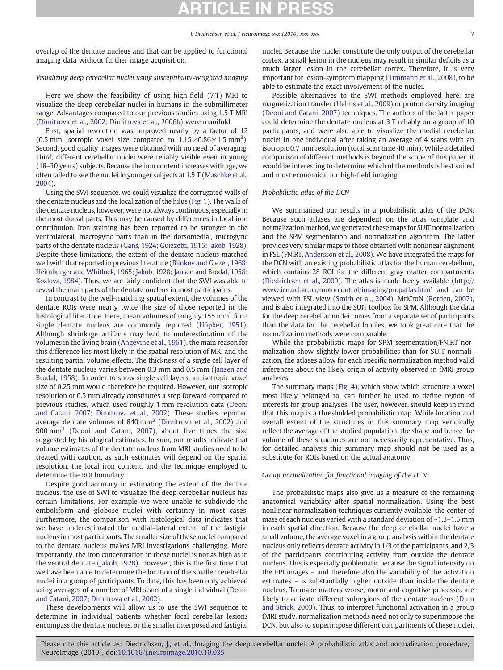overlap of the dentate nucleus and that can be applied to functional imaging data without further image acquisition.

### Visualizing deep cerebellar nuclei using susceptibility-weighted imaging

Here we show the feasibility of using high-field (7 T) MRI to visualize the deep cerebellar nuclei in humans in the submillimeter range. Advantages compared to our previous studies using 1.5 T MRI [\(Dimitrova et al., 2002; Dimitrova et al., 2006b\)](#page-7-0) were manifold.

First, spatial resolution was improved nearly by a factor of 12 (0.5 mm isotropic voxel size compared to  $1.15 \times 0.86 \times 1.5$  mm<sup>3</sup>). Second, good quality images were obtained with no need of averaging. Third, different cerebellar nuclei were reliably visible even in young (18–30 years) subjects. Because the iron content increases with age, we often failed to see the nuclei in younger subjects at 1.5 T [\(Maschke et al.,](#page-7-0) [2004](#page-7-0)).

Using the SWI sequence, we could visualize the corrugated walls of the dentate nucleus and the localization of the hilus [\(Fig. 1](#page-2-0)). The walls of the dentate nucleus, however, were not always continuous, especially in the most dorsal parts. This may be caused by differences in local iron contribution. Iron staining has been reported to be stronger in the ventrolateral, macrogyric parts than in the dorsomedial, microgyric parts of the dentate nucleus [\(Gans, 1924; Guizzetti, 1915; Jakob, 1928](#page-7-0)). Despite these limitations, the extent of the dentate nucleus matched well with that reported in previous literature [\(Blinkov and Glezer, 1968;](#page-7-0) [Heimburger and Whitlock, 1965; Jakob, 1928; Jansen and Brodal, 1958;](#page-7-0) [Kozlova, 1984\)](#page-7-0). Thus, we are fairly confident that the SWI was able to reveal the main parts of the dentate nucleus in most participants.

In contrast to the well-matching spatial extent, the volumes of the dentate ROIs were nearly twice the size of those reported in the histological literature. Here, mean volumes of roughly 155 mm<sup>3</sup> for a single dentate nucleus are commonly reported ([Höpker, 1951](#page-7-0)). Although shrinkage artifacts may lead to underestimation of the volumes in the living brain [\(Angevine et al., 1961](#page-7-0)), the main reason for this difference lies most likely in the spatial resolution of MRI and the resulting partial volume effects. The thickness of a single cell layer of the dentate nucleus varies between 0.3 mm and 0.5 mm ([Jansen and](#page-7-0) [Brodal, 1958\)](#page-7-0). In order to show single cell layers, an isotropic voxel size of 0.25 mm would therefore be required. However, our isotropic resolution of 0.5 mm already constitutes a step forward compared to previous studies, which used roughly 1 mm resolution data [\(Deoni](#page-7-0) [and Catani, 2007; Dimitrova et al., 2002\)](#page-7-0). These studies reported average dentate volumes of 840  $mm<sup>3</sup>$  ([Dimitrova et al., 2002](#page-7-0)) and 900 mm<sup>3</sup> ([Deoni and Catani, 2007\)](#page-7-0), about five times the size suggested by histological estimates. In sum, our results indicate that volume estimates of the dentate nucleus from MRI studies need to be treated with caution, as such estimates will depend on the spatial resolution, the local iron content, and the technique employed to determine the ROI boundary.

Despite good accuracy in estimating the extent of the dentate nucleus, the use of SWI to visualize the deep cerebellar nucleus has certain limitations. For example we were unable to subdivide the emboliform and globose nuclei with certainty in most cases. Furthermore, the comparison with histological data indicates that we have underestimated the medial–lateral extent of the fastigial nucleus in most participants. The smaller size of these nuclei compared to the dentate nucleus makes MRI investigations challenging. More importantly, the iron concentration in these nuclei is not as high as in the ventral dentate [\(Jakob, 1928](#page-7-0)). However, this is the first time that we have been able to determine the location of the smaller cerebellar nuclei in a group of participants. To date, this has been only achieved using averages of a number of MRI scans of a single individual [\(Deoni](#page-7-0) [and Catani, 2007; Dimitrova et al., 2002](#page-7-0)).

These developments will allow us to use the SWI sequence to determine in individual patients whether focal cerebellar lesions encompass the dentate nucleus, or the smaller interposed and fastigial nuclei. Because the nuclei constitute the only output of the cerebellar cortex, a small lesion in the nucleus may result in similar deficits as a much larger lesion in the cerebellar cortex. Therefore, it is very important for lesion-symptom mapping [\(Timmann et al., 2008](#page-8-0)), to be able to estimate the exact involvement of the nuclei.

Possible alternatives to the SWI methods employed here, are magnetization transfer [\(Helms et al., 2009](#page-7-0)) or proton density imaging [\(Deoni and Catani, 2007](#page-7-0)) techniques. The authors of the latter paper could determine the dentate nucleus at 3 T reliably on a group of 10 participants, and were also able to visualize the medial cerebellar nuclei in one individual after taking an average of 4 scans with an isotropic 0.7 mm resolution (total scan time 40 min). While a detailed comparison of different methods is beyond the scope of this paper, it would be interesting to determine which of the methods is best suited and most economical for high-field imaging.

### Probabilistic atlas of the DCN

We summarized our results in a probabilistic atlas of the DCN. Because such atlases are dependent on the atlas template and normalization method, we generated these maps for SUIT normalization and the SPM segmentation and normalization algorithm. The latter provides very similar maps to those obtained with nonlinear alignment in FSL (FNIRT, [Andersson et al., 2008\)](#page-7-0). We have integrated the maps for the DCN with an existing probabilistic atlas for the human cerebellum, which contains 28 ROI for the different gray matter compartments [\(Diedrichsen et al., 2009](#page-7-0)). The atlas is made freely available [\(http://](http://www.icn.ucl.ac.uk/motorcontrol/imaging/propatlas.htm) [www.icn.ucl.ac.uk/motorcontrol/imaging/propatlas.htm](http://www.icn.ucl.ac.uk/motorcontrol/imaging/propatlas.htm)) and can be viewed with FSL view ([Smith et al., 2004\)](#page-8-0), MriCroN [\(Rorden, 2007](#page-8-0)), and is also integrated into the SUIT toolbox for SPM. Although the data for the deep cerebellar nuclei comes from a separate set of participants than the data for the cerebellar lobules, we took great care that the normalization methods were comparable.

While the probabilistic maps for SPM segmentation/FNIRT normalization show slightly lower probabilities than for SUIT normalization, the atlases allow for each specific normalization method valid inferences about the likely origin of activity observed in fMRI group analyses.

The summary maps ([Fig. 4](#page-5-0)), which show which structure a voxel most likely belonged to, can further be used to define region of interests for group analyses. The user, however, should keep in mind that this map is a thresholded probabilistic map. While location and overall extent of the structures in this summary map veridically reflect the average of the studied population, the shape and hence the volume of these structures are not necessarily representative. Thus, for detailed analysis this summary map should not be used as a substitute for ROIs based on the actual anatomy.

# Group normalization for functional imaging of the DCN

The probabilistic maps also give us a measure of the remaining anatomical variability after spatial normalization. Using the best nonlinear normalization techniques currently available, the center of mass of each nucleus varied with a standard deviation of  $\sim$  1.3–1.5 mm in each spatial direction. Because the deep cerebellar nuclei have a small volume, the average voxel in a group analysis within the dentate nucleus only reflects dentate activity in 1/3 of the participants, and 2/3 of the participants contributing activity from outside the dentate nucleus. This is especially problematic because the signal intensity on the EPI images – and therefore also the variability of the activation estimates – is substantially higher outside than inside the dentate nucleus. To make matters worse, motor and cognitive processes are likely to activate different subregions of the dentate nucleus ([Dum](#page-7-0) [and Strick, 2003](#page-7-0)). Thus, to interpret functional activation in a group fMRI study, normalization methods need not only to superimpose the DCN, but also to superimpose different compartments of these nuclei.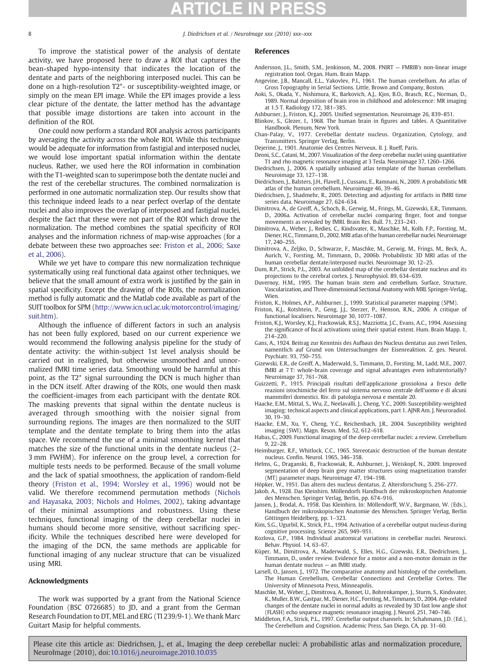<span id="page-7-0"></span>

To improve the statistical power of the analysis of dentate activity, we have proposed here to draw a ROI that captures the bean-shaped hypo-intensity that indicates the location of the dentate and parts of the neighboring interposed nuclei. This can be done on a high-resolution T2\*- or susceptibility-weighted image, or simply on the mean EPI image. While the EPI images provide a less clear picture of the dentate, the latter method has the advantage that possible image distortions are taken into account in the definition of the ROI.

One could now perform a standard ROI analysis across participants by averaging the activity across the whole ROI. While this technique would be adequate for information from fastigial and interposed nuclei, we would lose important spatial information within the dentate nucleus. Rather, we used here the ROI information in combination with the T1-weighted scan to superimpose both the dentate nuclei and the rest of the cerebellar structures. The combined normalization is performed in one automatic normalization step. Our results show that this technique indeed leads to a near perfect overlap of the dentate nuclei and also improves the overlap of interposed and fastigial nuclei, despite the fact that these were not part of the ROI which drove the normalization. The method combines the spatial specificity of ROI analyses and the information richness of map-wise approaches (for a debate between these two approaches see: Friston et al., 2006; Saxe et al., 2006).

While we yet have to compare this new normalization technique systematically using real functional data against other techniques, we believe that the small amount of extra work is justified by the gain in spatial specificity. Except the drawing of the ROIs, the normalization method is fully automatic and the Matlab code available as part of the SUIT toolbox for SPM [\(http://www.icn.ucl.ac.uk/motorcontrol/imaging/](http://www.icn.ucl.ac.uk/motorcontrol/imaging/suit.htm) [suit.htm](http://www.icn.ucl.ac.uk/motorcontrol/imaging/suit.htm)).

Although the influence of different factors in such an analysis has not been fully explored, based on our current experience we would recommend the following analysis pipeline for the study of dentate activity: the within-subject 1st level analysis should be carried out in realigned, but otherwise unsmoothed and unnormalized fMRI time series data. Smoothing would be harmful at this point, as the T2\* signal surrounding the DCN is much higher than in the DCN itself. After drawing of the ROIs, one would then mask the coefficient-images from each participant with the dentate ROI. The masking prevents that signal within the dentate nucleus is averaged through smoothing with the noisier signal from surrounding regions. The images are then normalized to the SUIT template and the dentate template to bring them into the atlas space. We recommend the use of a minimal smoothing kernel that matches the size of the functional units in the dentate nucleus (2– 3 mm FWHM). For inference on the group level, a correction for multiple tests needs to be performed. Because of the small volume and the lack of spatial smoothness, the application of random-field theory (Friston et al., 1994; Worsley et al., 1996) would not be valid. We therefore recommend permutation methods ([Nichols](#page-8-0) [and Hayasaka, 2003; Nichols and Holmes, 2002\)](#page-8-0), taking advantage of their minimal assumptions and robustness. Using these techniques, functional imaging of the deep cerebellar nuclei in humans should become more sensitive, without sacrificing specificity. While the techniques described here were developed for the imaging of the DCN, the same methods are applicable for functional imaging of any nuclear structure that can be visualized using MRI.

# Acknowledgments

The work was supported by a grant from the National Science Foundation (BSC 0726685) to JD, and a grant from the German Research Foundation to DT, MEL and ERG (TI 239/9-1). We thank Marc Guitart Masip for helpful comments.

# References

- Andersson, J.L., Smith, S.M., Jenkinson, M., 2008. FNIRT FMRIB's non-linear image registration tool. Organ. Hum. Brain Mapp.
- Angevine, J.B., Mancall, E.L., Yakovlev, P.I., 1961. The human cerebellum. An atlas of Gross Topography in Serial Sections. Little, Brown and Company, Boston.
- Aoki, S., Okada, Y., Nishimura, K., Barkovich, A.J., Kjos, B.O., Brasch, R.C., Norman, D., 1989. Normal deposition of brain iron in childhood and adolescence: MR imaging at 1.5 T. Radiology 172, 381–385.
- Ashburner, J., Friston, K.J., 2005. Unified segmentation. Neuroimage 26, 839–851.
- Blinkov, S., Glezer, I., 1968. The human brain in figures and tables. A Quantitative Handbook. Plenum, New York.
- Chan-Palay, V., 1977. Cerebellar dentate nucleus. Organization, Cytology, and Transmitters. Springer Verlag, Berlin.
- Dejerine, J., 1901. Anatomie des Centres Nerveux. II. J. Rueff, Paris.
- Deoni, S.C., Catani, M., 2007. Visualization of the deep cerebellar nuclei using quantitative T1 and rho magnetic resonance imaging at 3 Tesla. Neuroimage 37, 1260–1266.
- Diedrichsen, J., 2006. A spatially unbiased atlas template of the human cerebellum. Neuroimage 33, 127–138.
- Diedrichsen, J., Balsters, J.H., Flavell, J., Cussans, E., Ramnani, N., 2009. A probabilistic MR atlas of the human cerebellum. Neuroimage 46, 39–46.
- Diedrichsen, J., Shadmehr, R., 2005. Detecting and adjusting for artifacts in fMRI time series data. Neuroimage 27, 624–634.
- Dimitrova, A., de Greiff, A., Schoch, B., Gerwig, M., Frings, M., Gizewski, E.R., Timmann, D., 2006a. Activation of cerebellar nuclei comparing finger, foot and tongue movements as revealed by fMRI. Brain Res. Bull. 71, 233–241.
- Dimitrova, A., Weber, J., Redies, C., Kindsvater, K., Maschke, M., Kolb, F.P., Forsting, M., Diener, H.C., Timmann, D., 2002. MRI atlas of the human cerebellar nuclei. Neuroimage 17, 240–255.
- Dimitrova, A., Zeljko, D., Schwarze, F., Maschke, M., Gerwig, M., Frings, M., Beck, A., Aurich, V., Forsting, M., Timmann, D., 2006b. Probabilistic 3D MRI atlas of the human cerebellar dentate/interposed nuclei. Neuroimage 30, 12–25.
- Dum, R.P., Strick, P.L., 2003. An unfolded map of the cerebellar dentate nucleus and its projections to the cerebral cortex. J. Neurophysiol. 89, 634–639.
- Duvernoy, H.M., 1995. The human brain stem and cerebellum. Surface, Structure, Vascularization, and Three-dimensional Sectional Anatomy with MRI. Springer-Verlag, Wien.
- Friston, K., Holmes, A.P., Ashburner, J., 1999. Statistical parameter mapping (SPM).
- Friston, K.J., Rotshtein, P., Geng, J.J., Sterzer, P., Henson, R.N., 2006. A critique of functional localisers. Neuroimage 30, 1077–1087.
- Friston, K.J., Worsley, K.J., Frackowiak, R.S.J., Mazziotta, J.C., Evans, A.C., 1994. Assessing the significance of focal activations using their spatial extent. Hum. Brain Mapp. 1, 214–220.
- Gans, A., 1924. Beitrag zur Kenntnis des Aufbaus des Nucleus dentatus aus zwei Teilen, namentlich auf Grund von Untersuchungen der Eisenreaktion. Z. ges. Neurol. Psychiatr. 93, 750–755.
- Gizewski, E.R., de Greiff, A., Maderwald, S., Timmann, D., Forsting, M., Ladd, M.E., 2007. fMRI at 7 T: whole-brain coverage and signal advantages even infratentorially? Neuroimage 37, 761–768.
- Guizzetti, P., 1915. Principali risultati dell'applicazione grossolona a fresco delle reazioni istochimiche del ferro sul sistema nervoso centrale dell'uomo e di alcuni mammiferi domestici. Riv. di patologia nervosa e mentale 20.
- Haacke, E.M., Mittal, S., Wu, Z., Neelavalli, J., Cheng, Y.C., 2009. Susceptibility-weighted imaging: technical aspects and clinical applications, part 1. AJNR Am. J. Neuroradiol. 30, 19–30.
- Haacke, E.M., Xu, Y., Cheng, Y.C., Reichenbach, J.R., 2004. Susceptibility weighted imaging (SWI). Magn. Reson. Med. 52, 612–618.
- Habas, C., 2009. Functional imaging of the deep cerebellar nuclei: a review. Cerebellum 9, 22–28.
- Heimburger, R.F., Whitlock, C.C., 1965. Stereotaxic destruction of the human dentate nucleus. Confin. Neurol. 1965, 346–358.
- Helms, G., Draganski, B., Frackowiak, R., Ashburner, J., Weiskopf, N., 2009. Improved segmentation of deep brain grey matter structures using magnetization transfer (MT) parameter maps. Neuroimage 47, 194–198.
- Höpker, W., 1951. Das altern des nucleus dentatus. Z. Altersforschung 5, 256–277.
- Jakob, A., 1928. Das Kleinhirn. Möllendorfs Handbuch der mikroskopischen Anatomie des Menschen. Springer Verlag, Berlin, pp. 674–916.
- Jansen, J., Brodal, A., 1958. Das Kleinhirn. In: Möllendorff, W.V., Bargmann, W. (Eds.), Handbuch der mikroskopischen Anatomie des Menschen. Springer Verlag, Berlin Göttingen Heidelberg, pp. 1–323.
- Kim, S.G., Ugurbil, K., Strick, P.L., 1994. Activation of a cerebellar output nucleus during cognitive processing. Science 265, 949–951.
- Kozlova, G.P., 1984. Individual anatomical variations in cerebellar nuclei. Neurosci. Behav. Physiol. 14, 63–67.
- Küper, M., Dimitrova, A., Maderwald, S., Elles, H.G., Gizewski, E.R., Diedrichsen, J., Timmann, D., under review. Evidence for a motor and a non-motor domain in the human dentate nucleus — an fMRI study.
- Larsell, O., Jansen, J., 1972. The comparative anatomy and histology of the cerebellum. The Human Cerebellum, Cerebellar Connections and Cerebellar Cortex. The University of Minnesota Press, Minneapolis.
- Maschke, M., Weber, J., Dimitrova, A., Bonnet, U., Bohrenkamper, J., Sturm, S., Kindsvater, K., Muller, B.W., Gastpar, M., Diener, H.C., Forsting, M., Timmann, D., 2004. Age-related changes of the dentate nuclei in normal adults as revealed by 3D fast low angle shot (FLASH) echo sequence magnetic resonance imaging. J. Neurol. 251, 740–746.
- Middleton, F.A., Strick, P.L., 1997. Cerebellar output channels. In: Schahmann, J.D. (Ed.), The Cerebellum and Cognition. Academic Press, San Diego, CA, pp. 31–60.